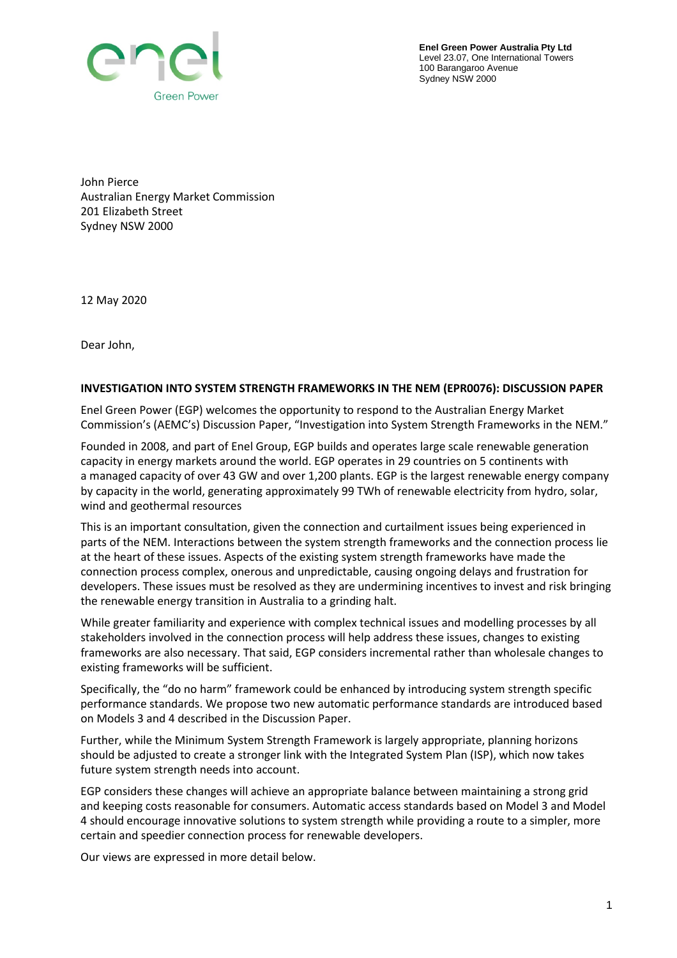

**Enel Green Power Australia Pty Ltd** Level 23.07, One International Towers 100 Barangaroo Avenue Sydney NSW 2000

John Pierce Australian Energy Market Commission 201 Elizabeth Street Sydney NSW 2000

12 May 2020

Dear John,

## **INVESTIGATION INTO SYSTEM STRENGTH FRAMEWORKS IN THE NEM (EPR0076): DISCUSSION PAPER**

Enel Green Power (EGP) welcomes the opportunity to respond to the Australian Energy Market Commission's (AEMC's) Discussion Paper, "Investigation into System Strength Frameworks in the NEM."

Founded in 2008, and part of Enel Group, EGP builds and operates large scale renewable generation capacity in energy markets around the world. EGP operates in 29 countries on 5 continents with a managed capacity of over 43 GW and over 1,200 plants. EGP is the largest renewable energy company by capacity in the world, generating approximately 99 TWh of renewable electricity from hydro, solar, wind and geothermal resources

This is an important consultation, given the connection and curtailment issues being experienced in parts of the NEM. Interactions between the system strength frameworks and the connection process lie at the heart of these issues. Aspects of the existing system strength frameworks have made the connection process complex, onerous and unpredictable, causing ongoing delays and frustration for developers. These issues must be resolved as they are undermining incentives to invest and risk bringing the renewable energy transition in Australia to a grinding halt.

While greater familiarity and experience with complex technical issues and modelling processes by all stakeholders involved in the connection process will help address these issues, changes to existing frameworks are also necessary. That said, EGP considers incremental rather than wholesale changes to existing frameworks will be sufficient.

Specifically, the "do no harm" framework could be enhanced by introducing system strength specific performance standards. We propose two new automatic performance standards are introduced based on Models 3 and 4 described in the Discussion Paper.

Further, while the Minimum System Strength Framework is largely appropriate, planning horizons should be adjusted to create a stronger link with the Integrated System Plan (ISP), which now takes future system strength needs into account.

EGP considers these changes will achieve an appropriate balance between maintaining a strong grid and keeping costs reasonable for consumers. Automatic access standards based on Model 3 and Model 4 should encourage innovative solutions to system strength while providing a route to a simpler, more certain and speedier connection process for renewable developers.

Our views are expressed in more detail below.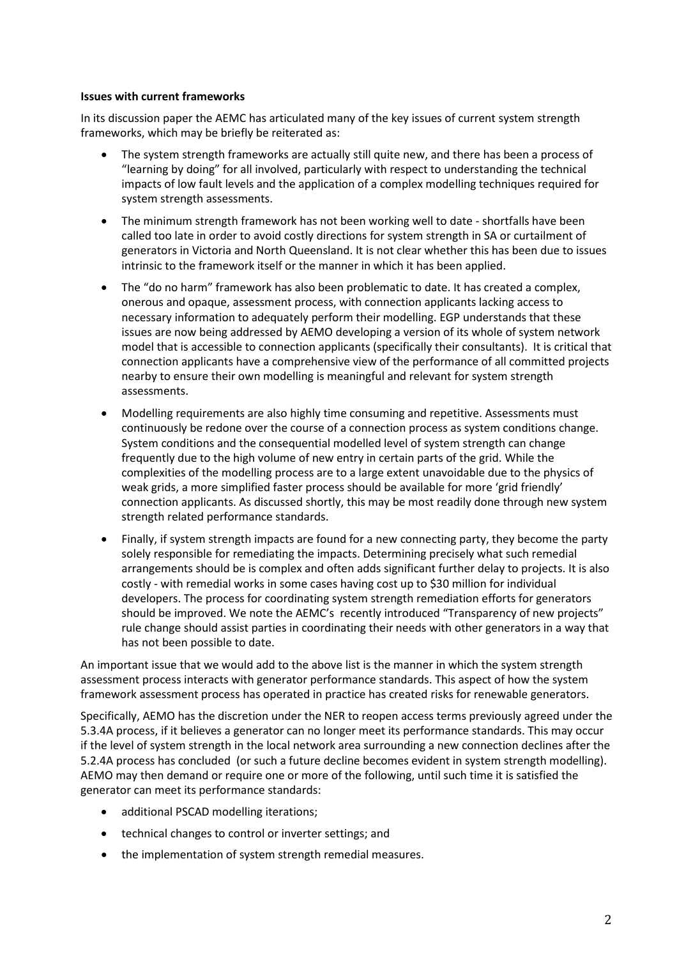## **Issues with current frameworks**

In its discussion paper the AEMC has articulated many of the key issues of current system strength frameworks, which may be briefly be reiterated as:

- The system strength frameworks are actually still quite new, and there has been a process of "learning by doing" for all involved, particularly with respect to understanding the technical impacts of low fault levels and the application of a complex modelling techniques required for system strength assessments.
- The minimum strength framework has not been working well to date shortfalls have been called too late in order to avoid costly directions for system strength in SA or curtailment of generators in Victoria and North Queensland. It is not clear whether this has been due to issues intrinsic to the framework itself or the manner in which it has been applied.
- The "do no harm" framework has also been problematic to date. It has created a complex, onerous and opaque, assessment process, with connection applicants lacking access to necessary information to adequately perform their modelling. EGP understands that these issues are now being addressed by AEMO developing a version of its whole of system network model that is accessible to connection applicants (specifically their consultants). It is critical that connection applicants have a comprehensive view of the performance of all committed projects nearby to ensure their own modelling is meaningful and relevant for system strength assessments.
- Modelling requirements are also highly time consuming and repetitive. Assessments must continuously be redone over the course of a connection process as system conditions change. System conditions and the consequential modelled level of system strength can change frequently due to the high volume of new entry in certain parts of the grid. While the complexities of the modelling process are to a large extent unavoidable due to the physics of weak grids, a more simplified faster process should be available for more 'grid friendly' connection applicants. As discussed shortly, this may be most readily done through new system strength related performance standards.
- Finally, if system strength impacts are found for a new connecting party, they become the party solely responsible for remediating the impacts. Determining precisely what such remedial arrangements should be is complex and often adds significant further delay to projects. It is also costly - with remedial works in some cases having cost up to \$30 million for individual developers. The process for coordinating system strength remediation efforts for generators should be improved. We note the AEMC's recently introduced "Transparency of new projects" rule change should assist parties in coordinating their needs with other generators in a way that has not been possible to date.

An important issue that we would add to the above list is the manner in which the system strength assessment process interacts with generator performance standards. This aspect of how the system framework assessment process has operated in practice has created risks for renewable generators.

Specifically, AEMO has the discretion under the NER to reopen access terms previously agreed under the 5.3.4A process, if it believes a generator can no longer meet its performance standards. This may occur if the level of system strength in the local network area surrounding a new connection declines after the 5.2.4A process has concluded (or such a future decline becomes evident in system strength modelling). AEMO may then demand or require one or more of the following, until such time it is satisfied the generator can meet its performance standards:

- additional PSCAD modelling iterations;
- technical changes to control or inverter settings; and
- the implementation of system strength remedial measures.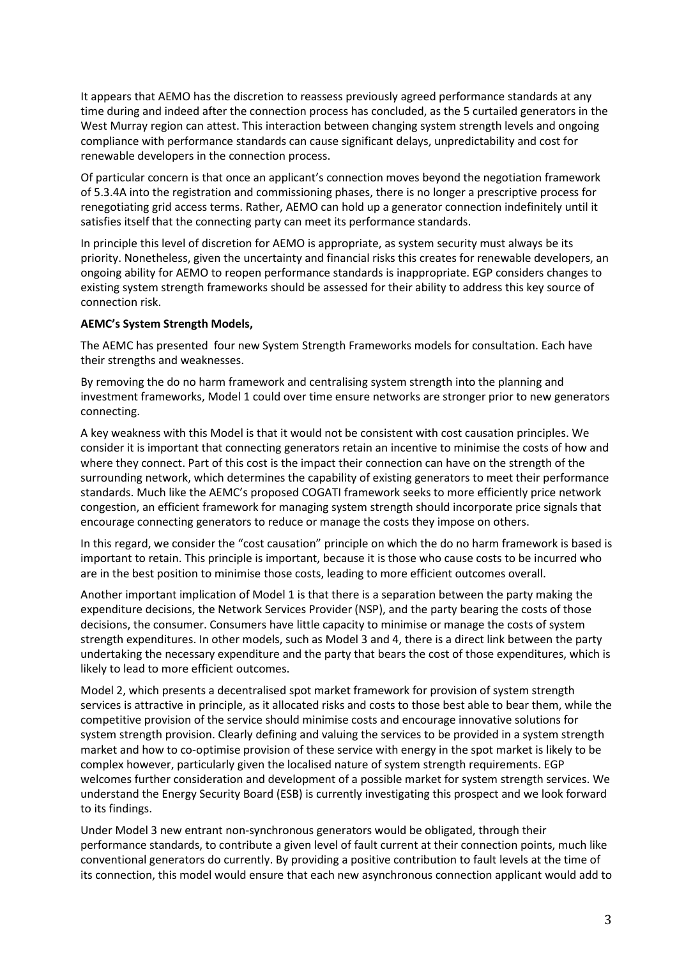It appears that AEMO has the discretion to reassess previously agreed performance standards at any time during and indeed after the connection process has concluded, as the 5 curtailed generators in the West Murray region can attest. This interaction between changing system strength levels and ongoing compliance with performance standards can cause significant delays, unpredictability and cost for renewable developers in the connection process.

Of particular concern is that once an applicant's connection moves beyond the negotiation framework of 5.3.4A into the registration and commissioning phases, there is no longer a prescriptive process for renegotiating grid access terms. Rather, AEMO can hold up a generator connection indefinitely until it satisfies itself that the connecting party can meet its performance standards.

In principle this level of discretion for AEMO is appropriate, as system security must always be its priority. Nonetheless, given the uncertainty and financial risks this creates for renewable developers, an ongoing ability for AEMO to reopen performance standards is inappropriate. EGP considers changes to existing system strength frameworks should be assessed for their ability to address this key source of connection risk.

# **AEMC's System Strength Models,**

The AEMC has presented four new System Strength Frameworks models for consultation. Each have their strengths and weaknesses.

By removing the do no harm framework and centralising system strength into the planning and investment frameworks, Model 1 could over time ensure networks are stronger prior to new generators connecting.

A key weakness with this Model is that it would not be consistent with cost causation principles. We consider it is important that connecting generators retain an incentive to minimise the costs of how and where they connect. Part of this cost is the impact their connection can have on the strength of the surrounding network, which determines the capability of existing generators to meet their performance standards. Much like the AEMC's proposed COGATI framework seeks to more efficiently price network congestion, an efficient framework for managing system strength should incorporate price signals that encourage connecting generators to reduce or manage the costs they impose on others.

In this regard, we consider the "cost causation" principle on which the do no harm framework is based is important to retain. This principle is important, because it is those who cause costs to be incurred who are in the best position to minimise those costs, leading to more efficient outcomes overall.

Another important implication of Model 1 is that there is a separation between the party making the expenditure decisions, the Network Services Provider (NSP), and the party bearing the costs of those decisions, the consumer. Consumers have little capacity to minimise or manage the costs of system strength expenditures. In other models, such as Model 3 and 4, there is a direct link between the party undertaking the necessary expenditure and the party that bears the cost of those expenditures, which is likely to lead to more efficient outcomes.

Model 2, which presents a decentralised spot market framework for provision of system strength services is attractive in principle, as it allocated risks and costs to those best able to bear them, while the competitive provision of the service should minimise costs and encourage innovative solutions for system strength provision. Clearly defining and valuing the services to be provided in a system strength market and how to co-optimise provision of these service with energy in the spot market is likely to be complex however, particularly given the localised nature of system strength requirements. EGP welcomes further consideration and development of a possible market for system strength services. We understand the Energy Security Board (ESB) is currently investigating this prospect and we look forward to its findings.

Under Model 3 new entrant non-synchronous generators would be obligated, through their performance standards, to contribute a given level of fault current at their connection points, much like conventional generators do currently. By providing a positive contribution to fault levels at the time of its connection, this model would ensure that each new asynchronous connection applicant would add to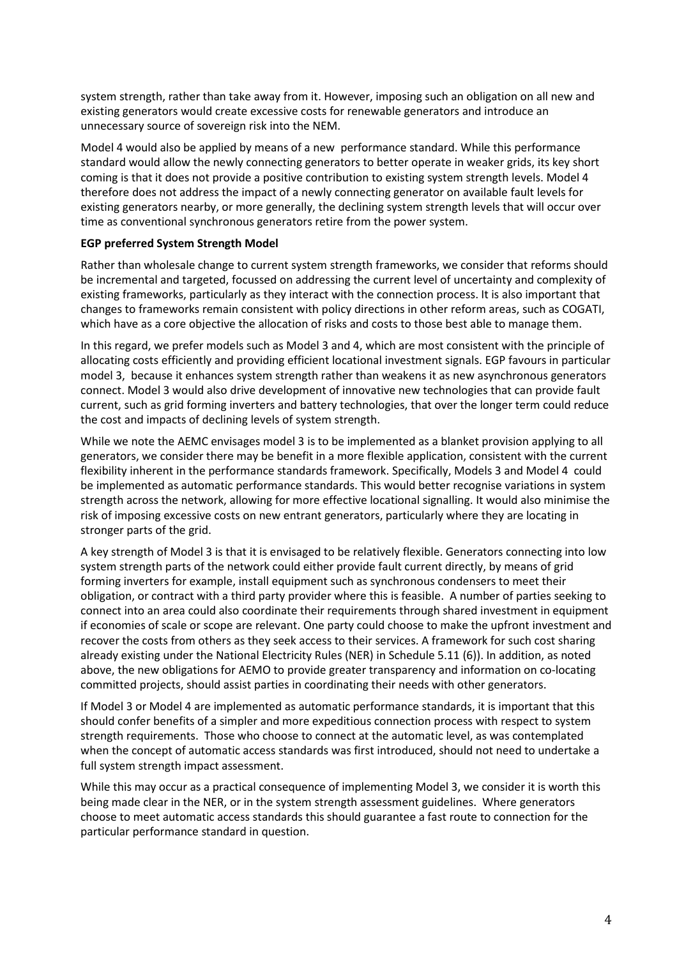system strength, rather than take away from it. However, imposing such an obligation on all new and existing generators would create excessive costs for renewable generators and introduce an unnecessary source of sovereign risk into the NEM.

Model 4 would also be applied by means of a new performance standard. While this performance standard would allow the newly connecting generators to better operate in weaker grids, its key short coming is that it does not provide a positive contribution to existing system strength levels. Model 4 therefore does not address the impact of a newly connecting generator on available fault levels for existing generators nearby, or more generally, the declining system strength levels that will occur over time as conventional synchronous generators retire from the power system.

# **EGP preferred System Strength Model**

Rather than wholesale change to current system strength frameworks, we consider that reforms should be incremental and targeted, focussed on addressing the current level of uncertainty and complexity of existing frameworks, particularly as they interact with the connection process. It is also important that changes to frameworks remain consistent with policy directions in other reform areas, such as COGATI, which have as a core objective the allocation of risks and costs to those best able to manage them.

In this regard, we prefer models such as Model 3 and 4, which are most consistent with the principle of allocating costs efficiently and providing efficient locational investment signals. EGP favours in particular model 3, because it enhances system strength rather than weakens it as new asynchronous generators connect. Model 3 would also drive development of innovative new technologies that can provide fault current, such as grid forming inverters and battery technologies, that over the longer term could reduce the cost and impacts of declining levels of system strength.

While we note the AEMC envisages model 3 is to be implemented as a blanket provision applying to all generators, we consider there may be benefit in a more flexible application, consistent with the current flexibility inherent in the performance standards framework. Specifically, Models 3 and Model 4 could be implemented as automatic performance standards. This would better recognise variations in system strength across the network, allowing for more effective locational signalling. It would also minimise the risk of imposing excessive costs on new entrant generators, particularly where they are locating in stronger parts of the grid.

A key strength of Model 3 is that it is envisaged to be relatively flexible. Generators connecting into low system strength parts of the network could either provide fault current directly, by means of grid forming inverters for example, install equipment such as synchronous condensers to meet their obligation, or contract with a third party provider where this is feasible. A number of parties seeking to connect into an area could also coordinate their requirements through shared investment in equipment if economies of scale or scope are relevant. One party could choose to make the upfront investment and recover the costs from others as they seek access to their services. A framework for such cost sharing already existing under the National Electricity Rules (NER) in Schedule 5.11 (6)). In addition, as noted above, the new obligations for AEMO to provide greater transparency and information on co-locating committed projects, should assist parties in coordinating their needs with other generators.

If Model 3 or Model 4 are implemented as automatic performance standards, it is important that this should confer benefits of a simpler and more expeditious connection process with respect to system strength requirements. Those who choose to connect at the automatic level, as was contemplated when the concept of automatic access standards was first introduced, should not need to undertake a full system strength impact assessment.

While this may occur as a practical consequence of implementing Model 3, we consider it is worth this being made clear in the NER, or in the system strength assessment guidelines. Where generators choose to meet automatic access standards this should guarantee a fast route to connection for the particular performance standard in question.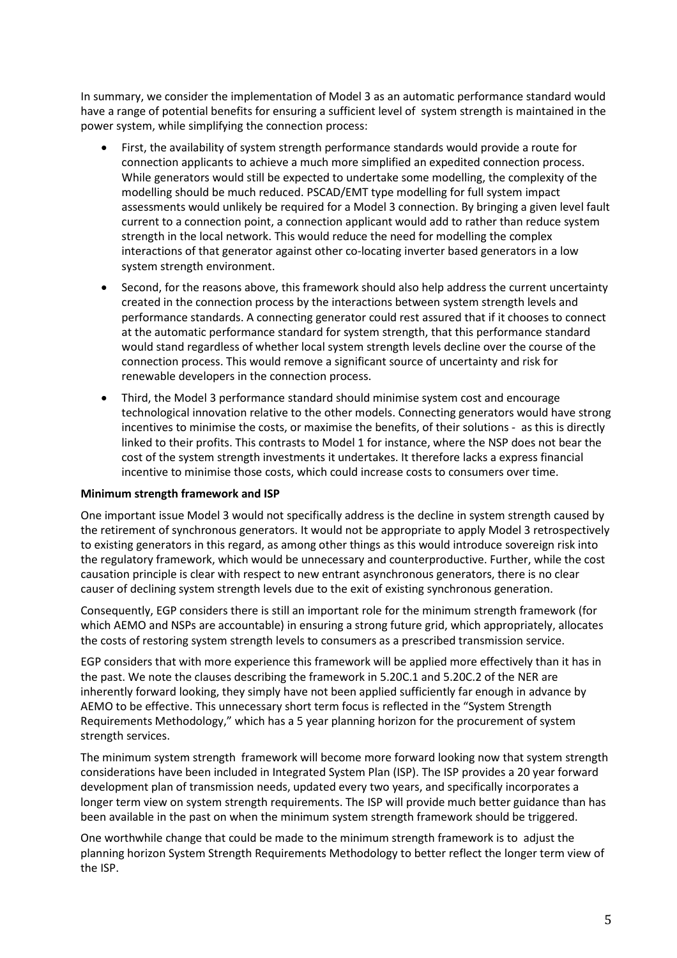In summary, we consider the implementation of Model 3 as an automatic performance standard would have a range of potential benefits for ensuring a sufficient level of system strength is maintained in the power system, while simplifying the connection process:

- First, the availability of system strength performance standards would provide a route for connection applicants to achieve a much more simplified an expedited connection process. While generators would still be expected to undertake some modelling, the complexity of the modelling should be much reduced. PSCAD/EMT type modelling for full system impact assessments would unlikely be required for a Model 3 connection. By bringing a given level fault current to a connection point, a connection applicant would add to rather than reduce system strength in the local network. This would reduce the need for modelling the complex interactions of that generator against other co-locating inverter based generators in a low system strength environment.
- Second, for the reasons above, this framework should also help address the current uncertainty created in the connection process by the interactions between system strength levels and performance standards. A connecting generator could rest assured that if it chooses to connect at the automatic performance standard for system strength, that this performance standard would stand regardless of whether local system strength levels decline over the course of the connection process. This would remove a significant source of uncertainty and risk for renewable developers in the connection process.
- Third, the Model 3 performance standard should minimise system cost and encourage technological innovation relative to the other models. Connecting generators would have strong incentives to minimise the costs, or maximise the benefits, of their solutions - as this is directly linked to their profits. This contrasts to Model 1 for instance, where the NSP does not bear the cost of the system strength investments it undertakes. It therefore lacks a express financial incentive to minimise those costs, which could increase costs to consumers over time.

## **Minimum strength framework and ISP**

One important issue Model 3 would not specifically address is the decline in system strength caused by the retirement of synchronous generators. It would not be appropriate to apply Model 3 retrospectively to existing generators in this regard, as among other things as this would introduce sovereign risk into the regulatory framework, which would be unnecessary and counterproductive. Further, while the cost causation principle is clear with respect to new entrant asynchronous generators, there is no clear causer of declining system strength levels due to the exit of existing synchronous generation.

Consequently, EGP considers there is still an important role for the minimum strength framework (for which AEMO and NSPs are accountable) in ensuring a strong future grid, which appropriately, allocates the costs of restoring system strength levels to consumers as a prescribed transmission service.

EGP considers that with more experience this framework will be applied more effectively than it has in the past. We note the clauses describing the framework in 5.20C.1 and 5.20C.2 of the NER are inherently forward looking, they simply have not been applied sufficiently far enough in advance by AEMO to be effective. This unnecessary short term focus is reflected in the "System Strength Requirements Methodology," which has a 5 year planning horizon for the procurement of system strength services.

The minimum system strength framework will become more forward looking now that system strength considerations have been included in Integrated System Plan (ISP). The ISP provides a 20 year forward development plan of transmission needs, updated every two years, and specifically incorporates a longer term view on system strength requirements. The ISP will provide much better guidance than has been available in the past on when the minimum system strength framework should be triggered.

One worthwhile change that could be made to the minimum strength framework is to adjust the planning horizon System Strength Requirements Methodology to better reflect the longer term view of the ISP.